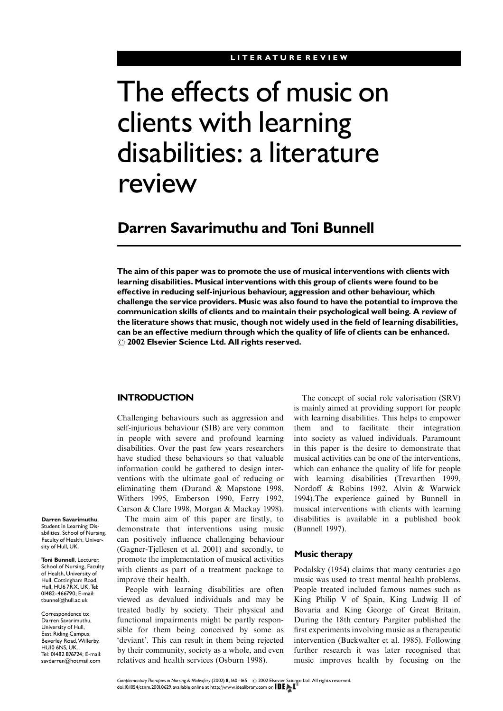# The effects of music on clients with learning disabilities: a literature review

# Darren Savarimuthu and Toni Bunnell

The aim of this paper was to promote the use of musical interventions with clients with learning disabilities. Musical interventions with this group of clients were found to be effective in reducing self-injurious behaviour, aggression and other behaviour, which challenge the service providers. Music was also found to have the potential to improve the communication skills of clients and to maintain their psychological well being. Areview of the literature shows that music, though not widely used in the field of learning disabilities, can be an effective medium through which the quality of life of clients can be enhanced. © 2002 Elsevier Science Ltd. All rights reserved.

# **INTRODUCTION**

Challenging behaviours such as aggression and self-injurious behaviour (SIB) are very common in people with severe and profound learning disabilities. Over the past few years researchers have studied these behaviours so that valuable information could be gathered to design interventions with the ultimate goal of reducing or eliminating them [\(Durand & Mapstone 1998,](#page-4-0) [Withers 1995,](#page-5-0) [Emberson 1990, Ferry 1992,](#page-4-0) [Carson & Clare 1998,](#page-4-0) [Morgan & Mackay 1998\).](#page-5-0) The main aim of this paper are firstly, to

demonstrate that interventions using music can positively influence challenging behaviour [\(Gagner-Tjellesen et al. 2001\)](#page-5-0) and secondly, to promote the implementation of musical activities with clients as part of a treatment package to improve their health.

People with learning disabilities are often viewed as devalued individuals and may be treated badly by society. Their physical and functional impairments might be partly responsible for them being conceived by some as 'deviant'. This can result in them being rejected by their community, society as a whole, and even relatives and health services [\(Osburn 1998\)](#page-5-0).

The concept of social role valorisation (SRV) is mainly aimed at providing support for people with learning disabilities. This helps to empower them and to facilitate their integration into society as valued individuals. Paramount in this paper is the desire to demonstrate that musical activities can be one of the interventions, which can enhance the quality of life for people with learning disabilities [\(Trevarthen 1999,](#page-5-0) [Nordoff & Robins 1992](#page-5-0), [Alvin & Warwick](#page-4-0) [1994\)](#page-4-0).The experience gained by Bunnell in musical interventions with clients with learning disabilities is available in a published book [\(Bunnell 1997\).](#page-4-0)

#### Music therapy

[Podalsky \(1954\)](#page-5-0) claims that many centuries ago music was used to treat mental health problems. People treated included famous names such as King Philip V of Spain, King Ludwig II of Bovaria and King George of Great Britain. During the 18th century Pargiter published the first experiments involving music as a therapeutic intervention [\(Buckwalter et al. 1985\).](#page-4-0) Following further research it was later recognised that music improves health by focusing on the

Darren Savarimuthu, Student in Learning Disabilities, School of Nursing, Faculty of Health, University of Hull, UK.

Toni Bunnell, Lecturer, School of Nursing, Faculty of Health, University of Hull, Cottingham Road, Hull, HU6 7RX, UK.Tel: 01482-466790; E-mail: tbunnel@hull.ac.uk

Correspondence to: Darren Savarimuthu, University of Hull, East Riding Campus, Beverley Road,Willerby, HU10 6NS, UK. Tel: 01482 876724; E-mail: savdarren@hotmail.com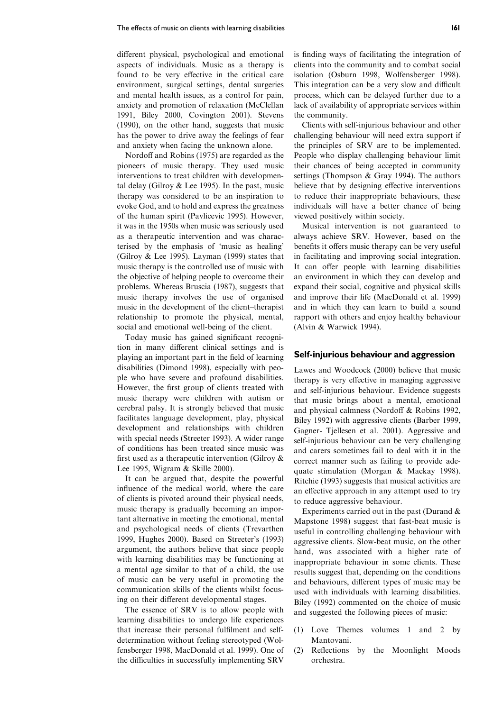different physical, psychological and emotional aspects of individuals. Music as a therapy is found to be very effective in the critical care environment, surgical settings, dental surgeries and mental health issues, as a control for pain, anxiety and promotion of relaxation [\(McClellan](#page-5-0) [1991,](#page-5-0) [Biley 2000, Covington 2001\)](#page-4-0). [Stevens](#page-5-0) [\(1990\),](#page-5-0) on the other hand, suggests that music has the power to drive away the feelings of fear and anxiety when facing the unknown alone.

[Nordoff and Robins \(1975\)](#page-5-0) are regarded as the pioneers of music therapy. They used music interventions to treat children with developmental delay [\(Gilroy & Lee 1995\).](#page-5-0) In the past, music therapy was considered to be an inspiration to evoke God, and to hold and express the greatness of the human spirit [\(Pavlicevic 1995\).](#page-5-0) However, it was in the 1950s when music was seriously used as a therapeutic intervention and was characterised by the emphasis of 'music as healing' [\(Gilroy & Lee 1995\)](#page-5-0). [Layman \(1999\)](#page-5-0) states that music therapy is the controlled use of music with the objective of helping people to overcome their problems. Whereas [Bruscia \(1987\),](#page-4-0) suggests that music therapy involves the use of organised music in the development of the client–therapist relationship to promote the physical, mental, social and emotional well-being of the client.

Today music has gained significant recognition in many different clinical settings and is playing an important part in the field of learning disabilities [\(Dimond 1998\)](#page-4-0), especially with people who have severe and profound disabilities. However, the first group of clients treated with music therapy were children with autism or cerebral palsy. It is strongly believed that music facilitates language development, play, physical development and relationships with children with special needs [\(Streeter 1993\)](#page-5-0). A wider range of conditions has been treated since music was first used as a therapeutic intervention [\(Gilroy &](#page-5-0) [Lee 1995, Wigram & Skille 2000\).](#page-5-0)

It can be argued that, despite the powerful influence of the medical world, where the care of clients is pivoted around their physical needs, music therapy is gradually becoming an important alternative in meeting the emotional, mental and psychological needs of clients [\(Trevarthen](#page-5-0) [1999, Hughes 2000\)](#page-5-0). Based on [Streeter's \(1993\)](#page-5-0) argument, the authors believe that since people with learning disabilities may be functioning at a mental age similar to that of a child, the use of music can be very useful in promoting the communication skills of the clients whilst focusing on their different developmental stages.

The essence of SRV is to allow people with learning disabilities to undergo life experiences that increase their personal fulfilment and selfdetermination without feeling stereotyped [\(Wol](#page-5-0)[fensberger 1998, MacDonald et al](#page-5-0). 1999). One of the difficulties in successfully implementing SRV

is finding ways of facilitating the integration of clients into the community and to combat social isolation [\(Osburn 1998, Wolfensberger 1998\).](#page-5-0) This integration can be a very slow and difficult process, which can be delayed further due to a lack of availability of appropriate services within the community.

Clients with self-injurious behaviour and other challenging behaviour will need extra support if the principles of SRV are to be implemented. People who display challenging behaviour limit their chances of being accepted in community settings [\(Thompson & Gray 1994\)](#page-5-0). The authors believe that by designing effective interventions to reduce their inappropriate behaviours, these individuals will have a better chance of being viewed positively within society.

Musical intervention is not guaranteed to always achieve SRV. However, based on the benefits it offers music therapy can be very useful in facilitating and improving social integration. It can offer people with learning disabilities an environment in which they can develop and expand their social, cognitive and physical skills and improve their life [\(MacDonald et al](#page-5-0). 1999) and in which they can learn to build a sound rapport with others and enjoy healthy behaviour [\(Alvin & Warwick 1994\).](#page-4-0)

#### Self-injurious behaviour and aggression

[Lawes and Woodcock \(2000\)](#page-5-0) believe that music therapy is very effective in managing aggressive and self-injurious behaviour. Evidence suggests that music brings about a mental, emotional and physical calmness [\(Nordoff & Robins 1992,](#page-5-0) [Biley 1992\)](#page-4-0) with aggressive clients [\(Barber 1999,](#page-4-0) [Gagner- Tjellesen et al. 2001\)](#page-5-0). Aggressive and self-injurious behaviour can be very challenging and carers sometimes fail to deal with it in the correct manner such as failing to provide adequate stimulation [\(Morgan & Mackay 1998\).](#page-5-0) [Ritchie \(1993](#page-5-0)) suggests that musical activities are an effective approach in any attempt used to try to reduce aggressive behaviour.

Experiments carried out in the past [\(Durand &](#page-4-0) [Mapstone 1998\)](#page-4-0) suggest that fast-beat music is useful in controlling challenging behaviour with aggressive clients. Slow-beat music, on the other hand, was associated with a higher rate of inappropriate behaviour in some clients. These results suggest that, depending on the conditions and behaviours, different types of music may be used with individuals with learning disabilities. [Biley \(1992\)](#page-4-0) commented on the choice of music and suggested the following pieces of music:

- (1) Love Themes volumes 1 and 2 by Mantovani.
- (2) Reflections by the Moonlight Moods orchestra.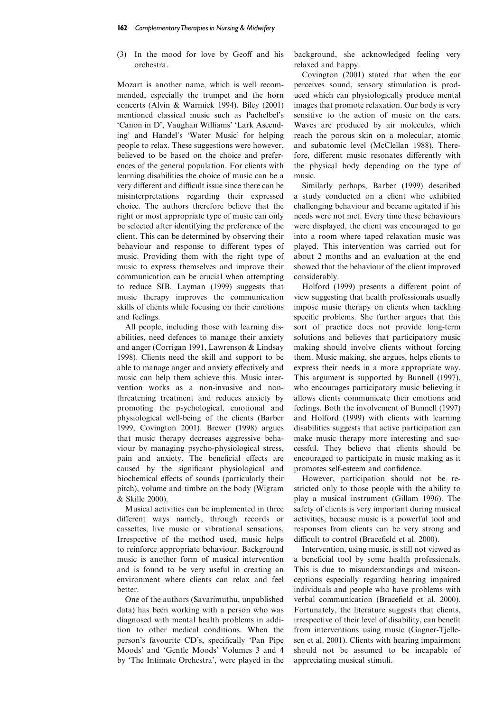(3) In the mood for love by Geoff and his orchestra.

Mozart is another name, which is well recommended, especially the trumpet and the horn concerts [\(Alvin & Warmick 1994\). Biley \(2001\)](#page-4-0) mentioned classical music such as Pachelbel's 'Canon in D', Vaughan Williams' 'Lark Ascending' and Handel's 'Water Music' for helping people to relax. These suggestions were however, believed to be based on the choice and preferences of the general population. For clients with learning disabilities the choice of music can be a very different and difficult issue since there can be misinterpretations regarding their expressed choice. The authors therefore believe that the right or most appropriate type of music can only be selected after identifying the preference of the client. This can be determined by observing their behaviour and response to different types of music. Providing them with the right type of music to express themselves and improve their communication can be crucial when attempting to reduce SIB. [Layman \(1999\)](#page-5-0) suggests that music therapy improves the communication skills of clients while focusing on their emotions and feelings.

All people, including those with learning disabilities, need defences to manage their anxiety and anger [\(Corrigan 1991,](#page-4-0) [Lawrenson & Lindsay](#page-5-0) [1998\)](#page-5-0). Clients need the skill and support to be able to manage anger and anxiety effectively and music can help them achieve this. Music intervention works as a non-invasive and nonthreatening treatment and reduces anxiety by promoting the psychological, emotional and physiological well-being of the clients [\(Barber](#page-4-0) [1999, Covington 2001\)](#page-4-0). [Brewer \(1998\)](#page-4-0) argues that music therapy decreases aggressive behaviour by managing psycho-physiological stress, pain and anxiety. The beneficial effects are caused by the significant physiological and biochemical effects of sounds (particularly their pitch), volume and timbre on the body [\(Wigram](#page-5-0) [& Skille 2000\).](#page-5-0)

Musical activities can be implemented in three different ways namely, through records or cassettes, live music or vibrational sensations. Irrespective of the method used, music helps to reinforce appropriate behaviour. Background music is another form of musical intervention and is found to be very useful in creating an environment where clients can relax and feel better.

One of the authors (Savarimuthu, unpublished data) has been working with a person who was diagnosed with mental health problems in addition to other medical conditions. When the person's favourite CD's, specifically 'Pan Pipe Moods' and 'Gentle Moods' Volumes 3 and 4 by 'The Intimate Orchestra', were played in the background, she acknowledged feeling very relaxed and happy.

[Covington \(2001\)](#page-4-0) stated that when the ear perceives sound, sensory stimulation is produced which can physiologically produce mental images that promote relaxation. Our body is very sensitive to the action of music on the ears. Waves are produced by air molecules, which reach the porous skin on a molecular, atomic and subatomic level (McClellan 1988). Therefore, different music resonates differently with the physical body depending on the type of music.

Similarly perhaps, [Barber \(1999\)](#page-4-0) described a study conducted on a client who exhibited challenging behaviour and became agitated if his needs were not met. Every time these behaviours were displayed, the client was encouraged to go into a room where taped relaxation music was played. This intervention was carried out for about 2 months and an evaluation at the end showed that the behaviour of the client improved considerably.

[Holford \(1999\)](#page-5-0) presents a different point of view suggesting that health professionals usually impose music therapy on clients when tackling specific problems. She further argues that this sort of practice does not provide long-term solutions and believes that participatory music making should involve clients without forcing them. Music making, she argues, helps clients to express their needs in a more appropriate way. This argument is supported by [Bunnell \(1997\),](#page-4-0) who encourages participatory music believing it allows clients communicate their emotions and feelings. Both the involvement of [Bunnell \(1997\)](#page-4-0) and [Holford \(1999\)](#page-5-0) with clients with learning disabilities suggests that active participation can make music therapy more interesting and successful. They believe that clients should be encouraged to participate in music making as it promotes self-esteem and confidence.

However, participation should not be restricted only to those people with the ability to play a musical instrument [\(Gillam 1996\).](#page-5-0) The safety of clients is very important during musical activities, because music is a powerful tool and responses from clients can be very strong and difficult to control [\(Bracefield et al. 2000\).](#page-4-0)

Intervention, using music, is still not viewed as a beneficial tool by some health professionals. This is due to misunderstandings and misconceptions especially regarding hearing impaired individuals and people who have problems with verbal communication [\(Bracefield et al](#page-4-0). 2000). Fortunately, the literature suggests that clients, irrespective of their level of disability, can benefit from interventions using music [\(Gagner-Tjelle](#page-5-0)[sen et al. 2001\)](#page-5-0). Clients with hearing impairment should not be assumed to be incapable of appreciating musical stimuli.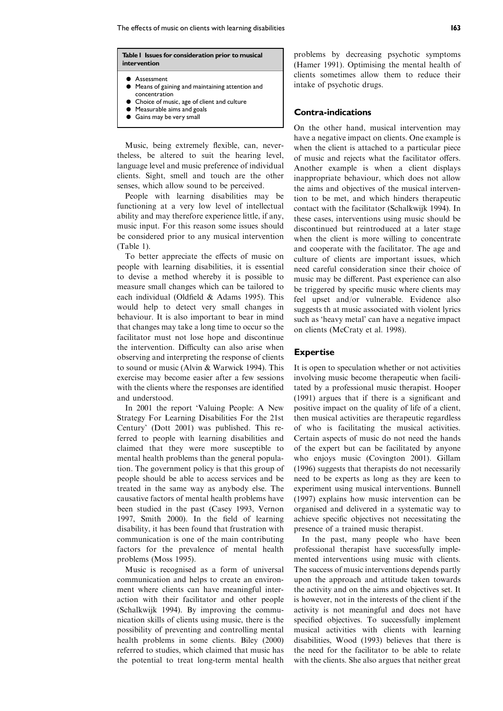Table | Issues for consideration prior to musical intervention

- **Assessment**
- $\bullet$  Means of gaining and maintaining attention and concentration
- Choice of music, age of client and culture
- Measurable aims and goals
- $\bullet$  Gains may be very small

Music, being extremely flexible, can, nevertheless, be altered to suit the hearing level, language level and music preference of individual clients. Sight, smell and touch are the other senses, which allow sound to be perceived.

People with learning disabilities may be functioning at a very low level of intellectual ability and may therefore experience little, if any, music input. For this reason some issues should be considered prior to any musical intervention (Table 1).

To better appreciate the effects of music on people with learning disabilities, it is essential to devise a method whereby it is possible to measure small changes which can be tailored to each individual [\(Oldfield & Adams 1995\).](#page-5-0) This would help to detect very small changes in behaviour. It is also important to bear in mind that changes may take a long time to occur so the facilitator must not lose hope and discontinue the intervention. Difficulty can also arise when observing and interpreting the response of clients to sound or music [\(Alvin & Warwick 1994\).](#page-4-0) This exercise may become easier after a few sessions with the clients where the responses are identified and understood.

In 2001 the report 'Valuing People: A New Strategy For Learning Disabilities For the 21st Century' (Dott 2001) was published. This referred to people with learning disabilities and claimed that they were more susceptible to mental health problems than the general population. The government policy is that this group of people should be able to access services and be treated in the same way as anybody else. The causative factors of mental health problems have been studied in the past [\(Casey 1993,](#page-4-0) [Vernon](#page-5-0) [1997, Smith 2000\)](#page-5-0). In the field of learning disability, it has been found that frustration with communication is one of the main contributing factors for the prevalence of mental health problems [\(Moss 1995\)](#page-5-0).

Music is recognised as a form of universal communication and helps to create an environment where clients can have meaningful interaction with their facilitator and other people [\(Schalkwijk 1994\).](#page-5-0) By improving the communication skills of clients using music, there is the possibility of preventing and controlling mental health problems in some clients. [Biley \(2000\)](#page-4-0) referred to studies, which claimed that music has the potential to treat long-term mental health

problems by decreasing psychotic symptoms [\(Hamer 1991\)](#page-5-0). Optimising the mental health of clients sometimes allow them to reduce their intake of psychotic drugs.

# Contra-indications

On the other hand, musical intervention may have a negative impact on clients. One example is when the client is attached to a particular piece of music and rejects what the facilitator offers. Another example is when a client displays inappropriate behaviour, which does not allow the aims and objectives of the musical intervention to be met, and which hinders therapeutic contact with the facilitator [\(Schalkwijk 1994\).](#page-5-0) In these cases, interventions using music should be discontinued but reintroduced at a later stage when the client is more willing to concentrate and cooperate with the facilitator. The age and culture of clients are important issues, which need careful consideration since their choice of music may be different. Past experience can also be triggered by specific music where clients may feel upset and/or vulnerable. Evidence also suggests th at music associated with violent lyrics such as 'heavy metal' can have a negative impact on clients [\(McCraty et al. 1998\).](#page-5-0)

#### Expertise

It is open to speculation whether or not activities involving music become therapeutic when facilitated by a professional music therapist. [Hooper](#page-5-0) [\(1991\)](#page-5-0) argues that if there is a significant and positive impact on the quality of life of a client, then musical activities are therapeutic regardless of who is facilitating the musical activities. Certain aspects of music do not need the hands of the expert but can be facilitated by anyone who enjoys music [\(Covington 2001\).](#page-4-0) [Gillam](#page-5-0) [\(1996\)](#page-5-0) suggests that therapists do not necessarily need to be experts as long as they are keen to experiment using musical interventions. [Bunnell](#page-4-0) [\(1997\)](#page-4-0) explains how music intervention can be organised and delivered in a systematic way to achieve specific objectives not necessitating the presence of a trained music therapist.

In the past, many people who have been professional therapist have successfully implemented interventions using music with clients. The success of music interventions depends partly upon the approach and attitude taken towards the activity and on the aims and objectives set. It is however, not in the interests of the client if the activity is not meaningful and does not have specified objectives. To successfully implement musical activities with clients with learning disabilities, [Wood \(1993\)](#page-5-0) believes that there is the need for the facilitator to be able to relate with the clients. She also argues that neither great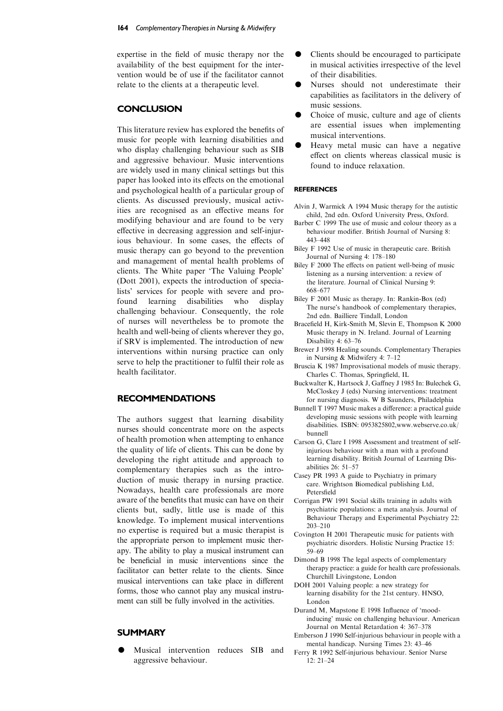<span id="page-4-0"></span>expertise in the field of music therapy nor the availability of the best equipment for the intervention would be of use if the facilitator cannot relate to the clients at a therapeutic level.

# **CONCLUSION**

This literature review has explored the benefits of music for people with learning disabilities and who display challenging behaviour such as SIB and aggressive behaviour. Music interventions are widely used in many clinical settings but this paper has looked into its effects on the emotional and psychological health of a particular group of clients. As discussed previously, musical activities are recognised as an effective means for modifying behaviour and are found to be very effective in decreasing aggression and self-injurious behaviour. In some cases, the effects of music therapy can go beyond to the prevention and management of mental health problems of clients. The White paper 'The Valuing People' (Dott 2001), expects the introduction of specialists' services for people with severe and profound learning disabilities who display challenging behaviour. Consequently, the role of nurses will nevertheless be to promote the health and well-being of clients wherever they go, if SRV is implemented. The introduction of new interventions within nursing practice can only serve to help the practitioner to fulfil their role as health facilitator.

# **RECOMMENDATIONS**

The authors suggest that learning disability nurses should concentrate more on the aspects of health promotion when attempting to enhance the quality of life of clients. This can be done by developing the right attitude and approach to complementary therapies such as the introduction of music therapy in nursing practice. Nowadays, health care professionals are more aware of the benefits that music can have on their clients but, sadly, little use is made of this knowledge. To implement musical interventions no expertise is required but a music therapist is the appropriate person to implement music therapy. The ability to play a musical instrument can be beneficial in music interventions since the facilitator can better relate to the clients. Since musical interventions can take place in different forms, those who cannot play any musical instrument can still be fully involved in the activities.

# **SUMMARY**

Musical intervention reduces SIB and aggressive behaviour.

- Clients should be encouraged to participate in musical activities irrespective of the level of their disabilities.
- Nurses should not underestimate their capabilities as facilitators in the delivery of music sessions.
- Choice of music, culture and age of clients are essential issues when implementing musical interventions.
- Heavy metal music can have a negative effect on clients whereas classical music is found to induce relaxation.

#### **REFERENCES**

- Alvin J, Warmick A 1994 Music therapy for the autistic child, 2nd edn. Oxford University Press, Oxford.
- Barber C 1999 The use of music and colour theory as a behaviour modifier. British Journal of Nursing 8: 443–448
- Biley F 1992 Use of music in therapeutic care. British Journal of Nursing 4: 178–180
- Biley F 2000 The effects on patient well-being of music listening as a nursing intervention: a review of the literature. Journal of Clinical Nursing 9: 668–677
- Biley F 2001 Music as therapy. In: Rankin-Box (ed) The nurse's handbook of complementary therapies, 2nd edn. Bailliere Tindall, London
- Bracefield H, Kirk-Smith M, Slevin E, Thompson K 2000 Music therapy in N. Ireland. Journal of Learning Disability 4: 63–76
- Brewer J 1998 Healing sounds. Complementary Therapies in Nursing & Midwifery 4: 7–12
- Bruscia K 1987 Improvisational models of music therapy. Charles C. Thomas, Springfield, IL
- Buckwalter K, Hartsock J, Gaffney J 1985 In: Bulechek G, McCloskey J (eds) Nursing interventions: treatment for nursing diagnosis. W B Saunders, Philadelphia
- Bunnell T 1997 Music makes a difference: a practical guide developing music sessions with people with learning disabilities. ISBN: 0953825802,www.webserve.co.uk/ bunnell
- Carson G, Clare I 1998 Assessment and treatment of selfinjurious behaviour with a man with a profound learning disability. British Journal of Learning Disabilities 26: 51–57
- Casey PR 1993 A guide to Psychiatry in primary care. Wrightson Biomedical publishing Ltd, Petersfield
- Corrigan PW 1991 Social skills training in adults with psychiatric populations: a meta analysis. Journal of Behaviour Therapy and Experimental Psychiatry 22: 203–210
- Covington H 2001 Therapeutic music for patients with psychiatric disorders. Holistic Nursing Practice 15: 59–69
- Dimond B 1998 The legal aspects of complementary therapy practice: a guide for health care professionals. Churchill Livingstone, London
- DOH 2001 Valuing people: a new strategy for learning disability for the 21st century. HNSO, London
- Durand M, Mapstone E 1998 Influence of 'moodinducing' music on challenging behaviour. American Journal on Mental Retardation 4: 367–378
- Emberson J 1990 Self-injurious behaviour in people with a mental handicap. Nursing Times 23: 43–46
- Ferry R 1992 Self-injurious behaviour. Senior Nurse 12: 21–24